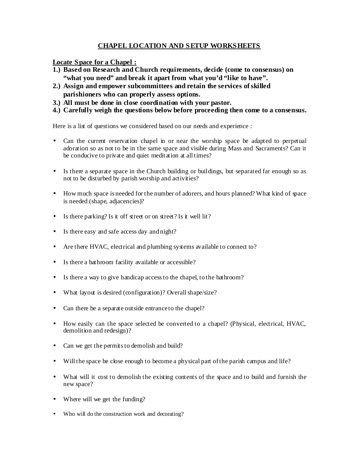## **CHAPEL LOCATION AND SETUP WORKSHEETS**

**Locate Space for a Chapel :**

- **1.) Based on Research and Church requirements, decide (come to consensus) on**  "what you need" and break it apart from what you'd "like to have".
- **2.) Assign and empower subcommittees and retain the services of skilled parishioners who can properly assess options.**
- **3.) All must be done in close coordination with your pastor.**
- **4.) Carefully weigh the questions below before proceeding then come to a consensus.**

Here is a list of questions we considered based on our needs and experience :

- Can the current reservation chapel in or near the worship space be adapted to perpetual adoration so as not to be in the same space and visible during Mass and Sacraments? Can it be conducive to private and quiet meditation at all times?
- Is there a separate space in the Church building or buildings, but separated far enough so as not to be disturbed by parish worship and activities?
- How much space is needed for the number of adorers, and hours planned? What kind of space is needed (shape, adjacencies)?
- Is there parking? Is it off street or on street? Is it well lit?
- Is there easy and safe access day and night?
- Are there HVAC, electrical and plumbing systems available to connect to?
- Is there a bathroom facility available or accessible?
- Is there a way to give handicap access to the chapel, to the bathroom?
- What layout is desired (configuration)? Overall shape/size?
- Can there be a separate outside entrance to the chapel?
- How easily can the space selected be converted to a chapel? (Physical, electrical, HVAC, demolition and redesign)?
- Can we get the permits to demolish and build?
- Will the space be close enough to become a physical part of the parish campus and life?
- What will it cost to demolish the existing contents of the space and to build and furnish the new space?
- Where will we get the funding?
- Who will do the construction work and decorating?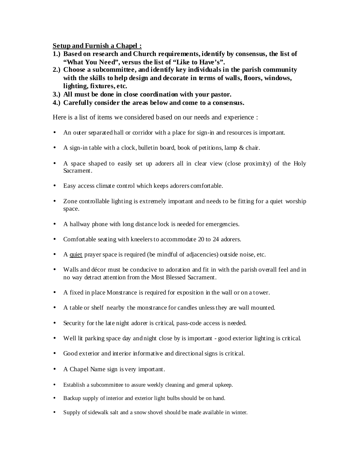**Setup and Furnish a Chapel :**

- **1.) Based on research and Church requirements, identify by consensus, the list of "What You Need", versus the list of "Like to Have's".**
- **2.) Choose a subcommittee, and identify key individuals in the parish community with the skills to help design and decorate in terms of walls, floors, windows, lighting, fixtures, etc.**
- **3.) All must be done in close coordination with your pastor.**
- **4.) Carefully consider the areas below and come to a consensus.**

Here is a list of items we considered based on our needs and experience :

- An outer separated hall or corridor with a place for sign-in and resources is important.
- A sign-in table with a clock, bulletin board, book of petitions, lamp & chair.
- A space shaped to easily set up adorers all in clear view (close proximity) of the Holy Sacrament.
- Easy access climate control which keeps adorers comfortable.
- Zone controllable lighting is extremely important and needs to be fitting for a quiet worship space.
- A hallway phone with long distance lock is needed for emergencies.
- Comfortable seating with kneelers to accommodate 20 to 24 adorers.
- A quiet prayer space is required (be mindful of adjacencies) outside noise, etc.
- Walls and décor must be conducive to adoration and fit in with the parish overall feel and in no way detract attention from the Most Blessed Sacrament.
- A fixed in place Monstrance is required for exposition in the wall or on a tower.
- A table or shelf nearby the monstrance for candles unless they are wall mounted.
- Security for the late night adorer is critical, pass-code access is needed.
- Well lit parking space day and night close by is important good exterior lighting is critical.
- Good exterior and interior informative and directional signs is critical.
- A Chapel Name sign is very important.
- Establish a subcommittee to assure weekly cleaning and general upkeep.
- Backup supply of interior and exterior light bulbs should be on hand.
- Supply of sidewalk salt and a snow shovel should be made available in winter.